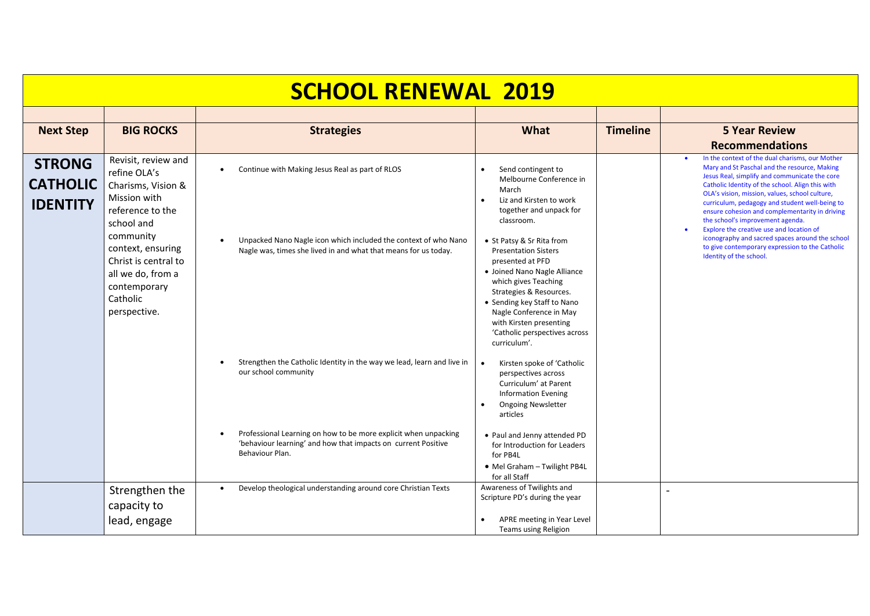| <b>SCHOOL RENEWAL 2019</b>                          |                                                                                                                                                                                                                                        |                                                                                                                                                                                                                                                       |                                                                                                                                                                                                                                                                                                                                                                                                                                     |                 |                                                                                                                                                                                                                                                                                                                                                                                                                                                                                                                                                                             |  |
|-----------------------------------------------------|----------------------------------------------------------------------------------------------------------------------------------------------------------------------------------------------------------------------------------------|-------------------------------------------------------------------------------------------------------------------------------------------------------------------------------------------------------------------------------------------------------|-------------------------------------------------------------------------------------------------------------------------------------------------------------------------------------------------------------------------------------------------------------------------------------------------------------------------------------------------------------------------------------------------------------------------------------|-----------------|-----------------------------------------------------------------------------------------------------------------------------------------------------------------------------------------------------------------------------------------------------------------------------------------------------------------------------------------------------------------------------------------------------------------------------------------------------------------------------------------------------------------------------------------------------------------------------|--|
|                                                     |                                                                                                                                                                                                                                        |                                                                                                                                                                                                                                                       |                                                                                                                                                                                                                                                                                                                                                                                                                                     |                 |                                                                                                                                                                                                                                                                                                                                                                                                                                                                                                                                                                             |  |
| <b>Next Step</b>                                    | <b>BIG ROCKS</b>                                                                                                                                                                                                                       | <b>Strategies</b>                                                                                                                                                                                                                                     | What                                                                                                                                                                                                                                                                                                                                                                                                                                | <b>Timeline</b> | <b>5 Year Review</b>                                                                                                                                                                                                                                                                                                                                                                                                                                                                                                                                                        |  |
|                                                     |                                                                                                                                                                                                                                        |                                                                                                                                                                                                                                                       |                                                                                                                                                                                                                                                                                                                                                                                                                                     |                 | <b>Recommendations</b>                                                                                                                                                                                                                                                                                                                                                                                                                                                                                                                                                      |  |
| <b>STRONG</b><br><b>CATHOLIC</b><br><b>IDENTITY</b> | Revisit, review and<br>refine OLA's<br>Charisms, Vision &<br>Mission with<br>reference to the<br>school and<br>community<br>context, ensuring<br>Christ is central to<br>all we do, from a<br>contemporary<br>Catholic<br>perspective. | Continue with Making Jesus Real as part of RLOS<br>٠<br>Unpacked Nano Nagle icon which included the context of who Nano<br>Nagle was, times she lived in and what that means for us today.                                                            | Send contingent to<br>Melbourne Conference in<br>March<br>Liz and Kirsten to work<br>together and unpack for<br>classroom.<br>• St Patsy & Sr Rita from<br><b>Presentation Sisters</b><br>presented at PFD<br>• Joined Nano Nagle Alliance<br>which gives Teaching<br>Strategies & Resources.<br>• Sending key Staff to Nano<br>Nagle Conference in May<br>with Kirsten presenting<br>'Catholic perspectives across<br>curriculum'. |                 | In the context of the dual charisms, our Mother<br>Mary and St Paschal and the resource, Making<br>Jesus Real, simplify and communicate the core<br>Catholic Identity of the school. Align this with<br>OLA's vision, mission, values, school culture,<br>curriculum, pedagogy and student well-being to<br>ensure cohesion and complementarity in driving<br>the school's improvement agenda.<br>Explore the creative use and location of<br>iconography and sacred spaces around the school<br>to give contemporary expression to the Catholic<br>Identity of the school. |  |
|                                                     |                                                                                                                                                                                                                                        | Strengthen the Catholic Identity in the way we lead, learn and live in<br>our school community<br>Professional Learning on how to be more explicit when unpacking<br>'behaviour learning' and how that impacts on current Positive<br>Behaviour Plan. | Kirsten spoke of 'Catholic<br>$\bullet$<br>perspectives across<br>Curriculum' at Parent<br><b>Information Evening</b><br><b>Ongoing Newsletter</b><br>articles<br>• Paul and Jenny attended PD<br>for Introduction for Leaders<br>for PB4L<br>• Mel Graham - Twilight PB4L                                                                                                                                                          |                 |                                                                                                                                                                                                                                                                                                                                                                                                                                                                                                                                                                             |  |
|                                                     |                                                                                                                                                                                                                                        |                                                                                                                                                                                                                                                       | for all Staff                                                                                                                                                                                                                                                                                                                                                                                                                       |                 |                                                                                                                                                                                                                                                                                                                                                                                                                                                                                                                                                                             |  |
|                                                     | Strengthen the<br>capacity to<br>lead, engage                                                                                                                                                                                          | Develop theological understanding around core Christian Texts                                                                                                                                                                                         | Awareness of Twilights and<br>Scripture PD's during the year<br>APRE meeting in Year Level<br>Teams using Religion                                                                                                                                                                                                                                                                                                                  |                 |                                                                                                                                                                                                                                                                                                                                                                                                                                                                                                                                                                             |  |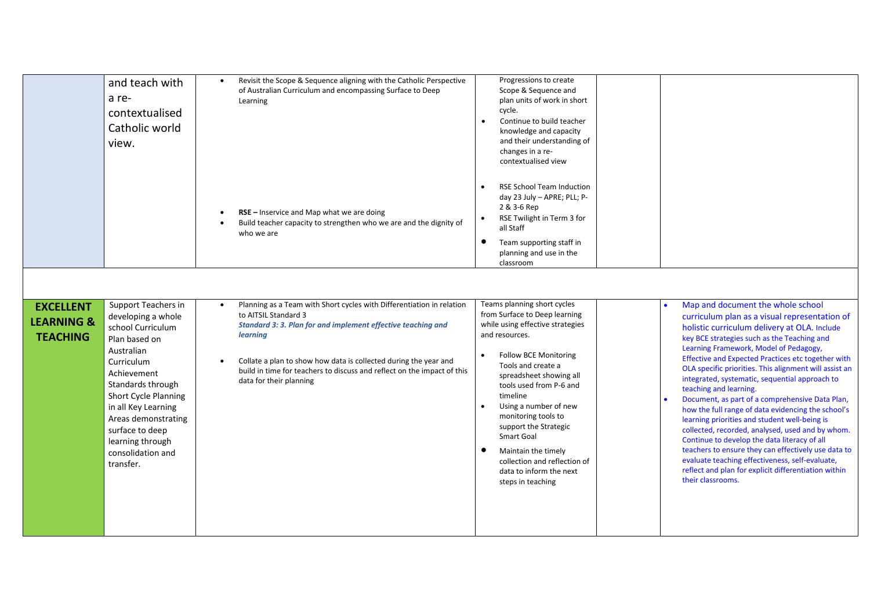|                                                              | and teach with<br>a re-<br>contextualised<br>Catholic world<br>view.                                                                                                                                                                                                                                  | Revisit the Scope & Sequence aligning with the Catholic Perspective<br>of Australian Curriculum and encompassing Surface to Deep<br>Learning                                                                                                                                                                                                        | Progressions to create<br>Scope & Sequence and<br>plan units of work in short<br>cycle.<br>Continue to build teacher<br>knowledge and capacity<br>and their understanding of<br>changes in a re-<br>contextualised view                                                                                                                                                                                                                  |                                                                                                                                                                                                                                                                                                                                                                                                                                                                                                                                                                                                                                                                                                                                                                                                                                                                              |
|--------------------------------------------------------------|-------------------------------------------------------------------------------------------------------------------------------------------------------------------------------------------------------------------------------------------------------------------------------------------------------|-----------------------------------------------------------------------------------------------------------------------------------------------------------------------------------------------------------------------------------------------------------------------------------------------------------------------------------------------------|------------------------------------------------------------------------------------------------------------------------------------------------------------------------------------------------------------------------------------------------------------------------------------------------------------------------------------------------------------------------------------------------------------------------------------------|------------------------------------------------------------------------------------------------------------------------------------------------------------------------------------------------------------------------------------------------------------------------------------------------------------------------------------------------------------------------------------------------------------------------------------------------------------------------------------------------------------------------------------------------------------------------------------------------------------------------------------------------------------------------------------------------------------------------------------------------------------------------------------------------------------------------------------------------------------------------------|
|                                                              |                                                                                                                                                                                                                                                                                                       | RSE - Inservice and Map what we are doing<br>Build teacher capacity to strengthen who we are and the dignity of<br>who we are                                                                                                                                                                                                                       | <b>RSE School Team Induction</b><br>day 23 July - APRE; PLL; P-<br>2 & 3-6 Rep<br>RSE Twilight in Term 3 for<br>all Staff<br>$\bullet$<br>Team supporting staff in<br>planning and use in the<br>classroom                                                                                                                                                                                                                               |                                                                                                                                                                                                                                                                                                                                                                                                                                                                                                                                                                                                                                                                                                                                                                                                                                                                              |
|                                                              |                                                                                                                                                                                                                                                                                                       |                                                                                                                                                                                                                                                                                                                                                     |                                                                                                                                                                                                                                                                                                                                                                                                                                          |                                                                                                                                                                                                                                                                                                                                                                                                                                                                                                                                                                                                                                                                                                                                                                                                                                                                              |
| <b>EXCELLENT</b><br><b>LEARNING &amp;</b><br><b>TEACHING</b> | Support Teachers in<br>developing a whole<br>school Curriculum<br>Plan based on<br>Australian<br>Curriculum<br>Achievement<br>Standards through<br><b>Short Cycle Planning</b><br>in all Key Learning<br>Areas demonstrating<br>surface to deep<br>learning through<br>consolidation and<br>transfer. | Planning as a Team with Short cycles with Differentiation in relation<br>to AITSIL Standard 3<br>Standard 3: 3. Plan for and implement effective teaching and<br>learning<br>Collate a plan to show how data is collected during the year and<br>build in time for teachers to discuss and reflect on the impact of this<br>data for their planning | Teams planning short cycles<br>from Surface to Deep learning<br>while using effective strategies<br>and resources.<br><b>Follow BCE Monitoring</b><br>Tools and create a<br>spreadsheet showing all<br>tools used from P-6 and<br>timeline<br>Using a number of new<br>monitoring tools to<br>support the Strategic<br>Smart Goal<br>Maintain the timely<br>collection and reflection of<br>data to inform the next<br>steps in teaching | Map and document the whole school<br>curriculum plan as a visual representation of<br>holistic curriculum delivery at OLA. Include<br>key BCE strategies such as the Teaching and<br>Learning Framework, Model of Pedagogy,<br>Effective and Expected Practices etc together with<br>OLA specific priorities. This alignment will assist an<br>integrated, systematic, sequential approach to<br>teaching and learning.<br>Document, as part of a comprehensive Data Plan,<br>how the full range of data evidencing the school's<br>learning priorities and student well-being is<br>collected, recorded, analysed, used and by whom.<br>Continue to develop the data literacy of all<br>teachers to ensure they can effectively use data to<br>evaluate teaching effectiveness, self-evaluate,<br>reflect and plan for explicit differentiation within<br>their classrooms. |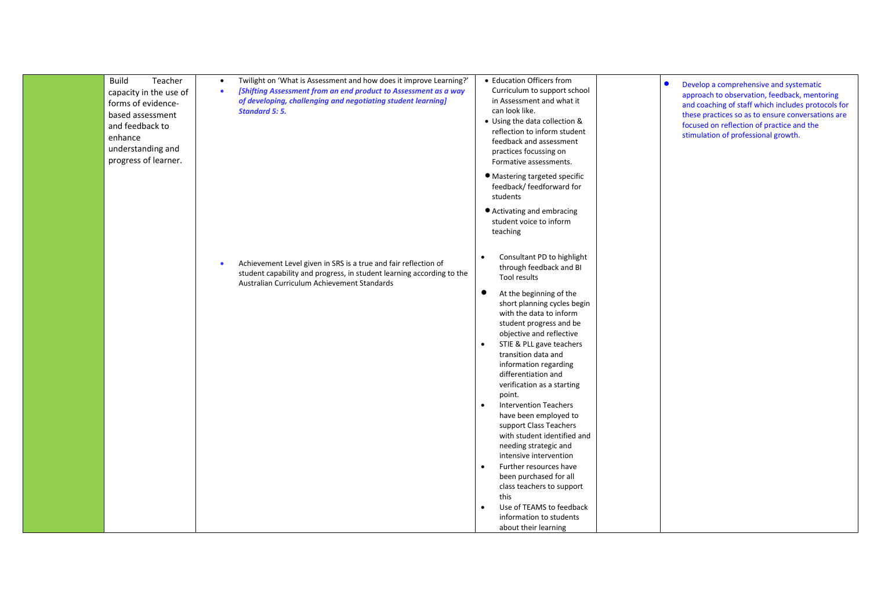| <b>Build</b><br>Teacher<br>capacity in the use of<br>forms of evidence-<br>based assessment<br>and feedback to<br>enhance<br>understanding and<br>progress of learner. | Twilight on 'What is Assessment and how does it improve Learning?'<br>[Shifting Assessment from an end product to Assessment as a way<br>$\bullet$<br>of developing, challenging and negotiating student learning]<br><b>Standard 5: 5.</b> | • Education Officers from<br>Curriculum to support school<br>in Assessment and what it<br>can look like.<br>• Using the data collection &<br>reflection to inform student<br>feedback and assessment<br>practices focussing on<br>Formative assessments.                                                                                                                                                                                                                                                                                                                                                                                                                                                                                                                                | Develop a comprehensive and systematic<br>$\bullet$<br>approach to observation, feedback, mentoring<br>and coaching of staff which includes protocols for<br>these practices so as to ensure conversations are<br>focused on reflection of practice and the<br>stimulation of professional growth. |
|------------------------------------------------------------------------------------------------------------------------------------------------------------------------|---------------------------------------------------------------------------------------------------------------------------------------------------------------------------------------------------------------------------------------------|-----------------------------------------------------------------------------------------------------------------------------------------------------------------------------------------------------------------------------------------------------------------------------------------------------------------------------------------------------------------------------------------------------------------------------------------------------------------------------------------------------------------------------------------------------------------------------------------------------------------------------------------------------------------------------------------------------------------------------------------------------------------------------------------|----------------------------------------------------------------------------------------------------------------------------------------------------------------------------------------------------------------------------------------------------------------------------------------------------|
|                                                                                                                                                                        |                                                                                                                                                                                                                                             | • Mastering targeted specific<br>feedback/ feedforward for<br>students<br>● Activating and embracing                                                                                                                                                                                                                                                                                                                                                                                                                                                                                                                                                                                                                                                                                    |                                                                                                                                                                                                                                                                                                    |
|                                                                                                                                                                        |                                                                                                                                                                                                                                             | student voice to inform<br>teaching                                                                                                                                                                                                                                                                                                                                                                                                                                                                                                                                                                                                                                                                                                                                                     |                                                                                                                                                                                                                                                                                                    |
|                                                                                                                                                                        | Achievement Level given in SRS is a true and fair reflection of<br>student capability and progress, in student learning according to the<br>Australian Curriculum Achievement Standards                                                     | Consultant PD to highlight<br>$\bullet$<br>through feedback and BI<br>Tool results<br>$\bullet$<br>At the beginning of the<br>short planning cycles begin<br>with the data to inform<br>student progress and be<br>objective and reflective<br>STIE & PLL gave teachers<br>$\bullet$<br>transition data and<br>information regarding<br>differentiation and<br>verification as a starting<br>point.<br><b>Intervention Teachers</b><br>$\bullet$<br>have been employed to<br>support Class Teachers<br>with student identified and<br>needing strategic and<br>intensive intervention<br>Further resources have<br>$\bullet$<br>been purchased for all<br>class teachers to support<br>this<br>Use of TEAMS to feedback<br>$\bullet$<br>information to students<br>about their learning |                                                                                                                                                                                                                                                                                                    |